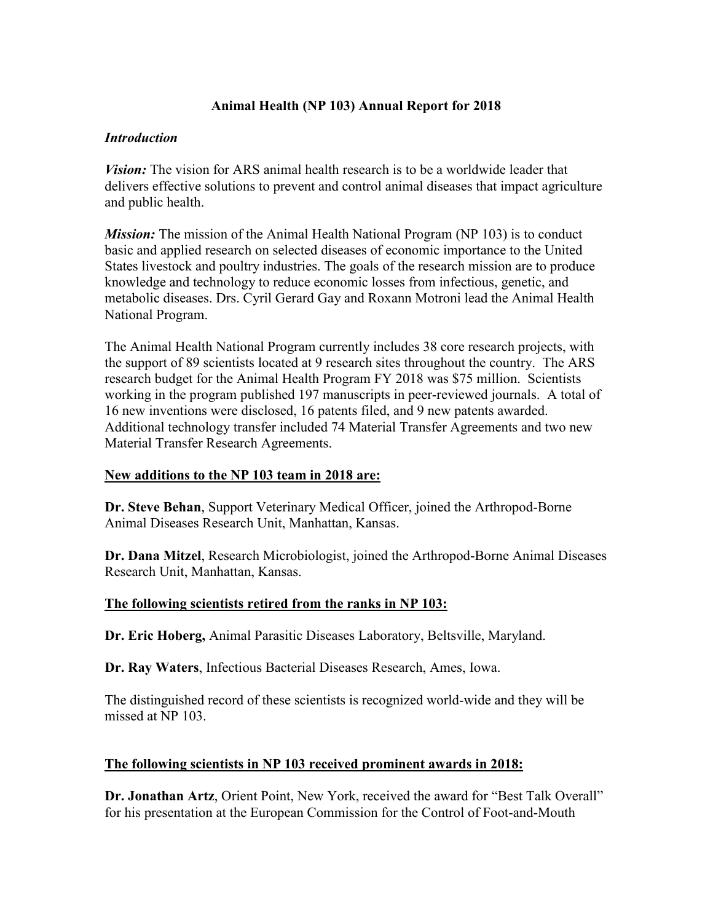# **Animal Health (NP 103) Annual Report for 2018**

## *Introduction*

*Vision:* The vision for ARS animal health research is to be a worldwide leader that delivers effective solutions to prevent and control animal diseases that impact agriculture and public health.

*Mission:* The mission of the Animal Health National Program (NP 103) is to conduct basic and applied research on selected diseases of economic importance to the United States livestock and poultry industries. The goals of the research mission are to produce knowledge and technology to reduce economic losses from infectious, genetic, and metabolic diseases. Drs. Cyril Gerard Gay and Roxann Motroni lead the Animal Health National Program.

The Animal Health National Program currently includes 38 core research projects, with the support of 89 scientists located at 9 research sites throughout the country. The ARS research budget for the Animal Health Program FY 2018 was \$75 million. Scientists working in the program published 197 manuscripts in peer-reviewed journals. A total of 16 new inventions were disclosed, 16 patents filed, and 9 new patents awarded. Additional technology transfer included 74 Material Transfer Agreements and two new Material Transfer Research Agreements.

# **New additions to the NP 103 team in 2018 are:**

**Dr. Steve Behan**, Support Veterinary Medical Officer, joined the Arthropod-Borne Animal Diseases Research Unit, Manhattan, Kansas.

**Dr. Dana Mitzel**, Research Microbiologist, joined the Arthropod-Borne Animal Diseases Research Unit, Manhattan, Kansas.

# **The following scientists retired from the ranks in NP 103:**

**Dr. Eric Hoberg,** Animal Parasitic Diseases Laboratory, Beltsville, Maryland.

**Dr. Ray Waters**, Infectious Bacterial Diseases Research, Ames, Iowa.

The distinguished record of these scientists is recognized world-wide and they will be missed at NP 103.

# **The following scientists in NP 103 received prominent awards in 2018:**

**Dr. Jonathan Artz**, Orient Point, New York, received the award for "Best Talk Overall" for his presentation at the European Commission for the Control of Foot-and-Mouth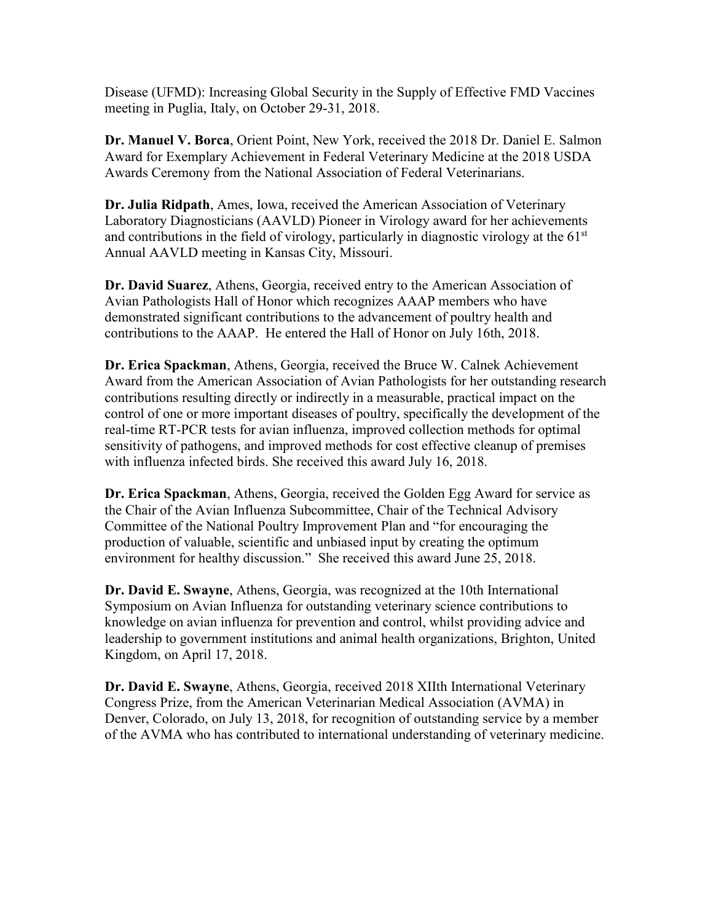Disease (UFMD): Increasing Global Security in the Supply of Effective FMD Vaccines meeting in Puglia, Italy, on October 29-31, 2018.

**Dr. Manuel V. Borca**, Orient Point, New York, received the 2018 Dr. Daniel E. Salmon Award for Exemplary Achievement in Federal Veterinary Medicine at the 2018 USDA Awards Ceremony from the National Association of Federal Veterinarians.

**Dr. Julia Ridpath**, Ames, Iowa, received the American Association of Veterinary Laboratory Diagnosticians (AAVLD) Pioneer in Virology award for her achievements and contributions in the field of virology, particularly in diagnostic virology at the  $61<sup>st</sup>$ Annual AAVLD meeting in Kansas City, Missouri.

**Dr. David Suarez**, Athens, Georgia, received entry to the American Association of Avian Pathologists Hall of Honor which recognizes AAAP members who have demonstrated significant contributions to the advancement of poultry health and contributions to the AAAP. He entered the Hall of Honor on July 16th, 2018.

**Dr. Erica Spackman**, Athens, Georgia, received the Bruce W. Calnek Achievement Award from the American Association of Avian Pathologists for her outstanding research contributions resulting directly or indirectly in a measurable, practical impact on the control of one or more important diseases of poultry, specifically the development of the real-time RT-PCR tests for avian influenza, improved collection methods for optimal sensitivity of pathogens, and improved methods for cost effective cleanup of premises with influenza infected birds. She received this award July 16, 2018.

**Dr. Erica Spackman**, Athens, Georgia, received the Golden Egg Award for service as the Chair of the Avian Influenza Subcommittee, Chair of the Technical Advisory Committee of the National Poultry Improvement Plan and "for encouraging the production of valuable, scientific and unbiased input by creating the optimum environment for healthy discussion." She received this award June 25, 2018.

**Dr. David E. Swayne**, Athens, Georgia, was recognized at the 10th International Symposium on Avian Influenza for outstanding veterinary science contributions to knowledge on avian influenza for prevention and control, whilst providing advice and leadership to government institutions and animal health organizations, Brighton, United Kingdom, on April 17, 2018.

**Dr. David E. Swayne**, Athens, Georgia, received 2018 XIIth International Veterinary Congress Prize, from the American Veterinarian Medical Association (AVMA) in Denver, Colorado, on July 13, 2018, for recognition of outstanding service by a member of the AVMA who has contributed to international understanding of veterinary medicine.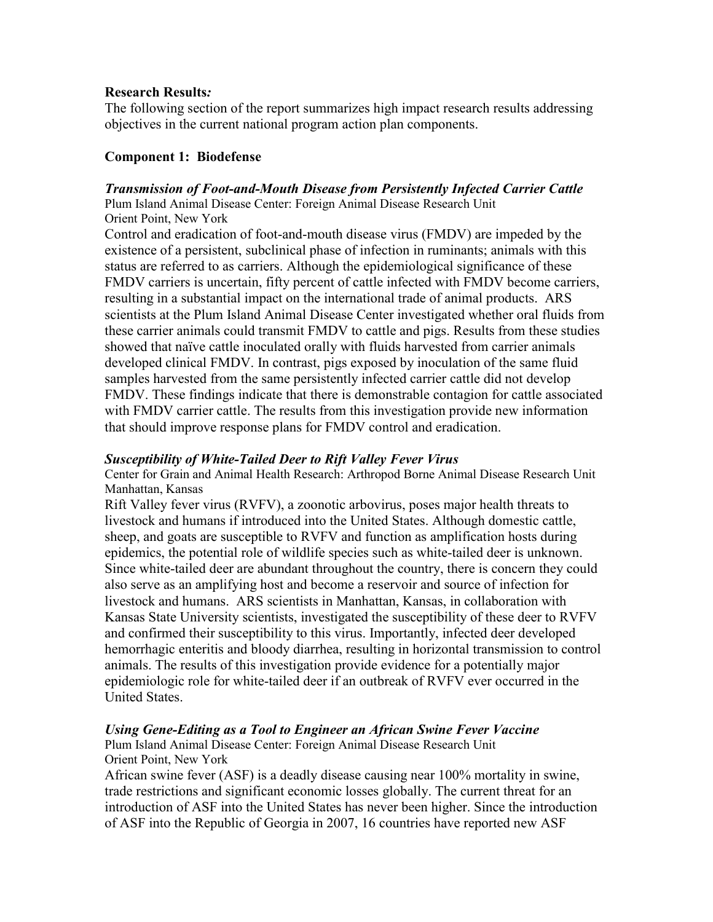### **Research Results***:*

The following section of the report summarizes high impact research results addressing objectives in the current national program action plan components.

## **Component 1: Biodefense**

### *Transmission of Foot-and-Mouth Disease from Persistently Infected Carrier Cattle*

Plum Island Animal Disease Center: Foreign Animal Disease Research Unit Orient Point, New York

Control and eradication of foot-and-mouth disease virus (FMDV) are impeded by the existence of a persistent, subclinical phase of infection in ruminants; animals with this status are referred to as carriers. Although the epidemiological significance of these FMDV carriers is uncertain, fifty percent of cattle infected with FMDV become carriers, resulting in a substantial impact on the international trade of animal products. ARS scientists at the Plum Island Animal Disease Center investigated whether oral fluids from these carrier animals could transmit FMDV to cattle and pigs. Results from these studies showed that naïve cattle inoculated orally with fluids harvested from carrier animals developed clinical FMDV. In contrast, pigs exposed by inoculation of the same fluid samples harvested from the same persistently infected carrier cattle did not develop FMDV. These findings indicate that there is demonstrable contagion for cattle associated with FMDV carrier cattle. The results from this investigation provide new information that should improve response plans for FMDV control and eradication.

### *Susceptibility of White-Tailed Deer to Rift Valley Fever Virus*

Center for Grain and Animal Health Research: Arthropod Borne Animal Disease Research Unit Manhattan, Kansas

Rift Valley fever virus (RVFV), a zoonotic arbovirus, poses major health threats to livestock and humans if introduced into the United States. Although domestic cattle, sheep, and goats are susceptible to RVFV and function as amplification hosts during epidemics, the potential role of wildlife species such as white-tailed deer is unknown. Since white-tailed deer are abundant throughout the country, there is concern they could also serve as an amplifying host and become a reservoir and source of infection for livestock and humans. ARS scientists in Manhattan, Kansas, in collaboration with Kansas State University scientists, investigated the susceptibility of these deer to RVFV and confirmed their susceptibility to this virus. Importantly, infected deer developed hemorrhagic enteritis and bloody diarrhea, resulting in horizontal transmission to control animals. The results of this investigation provide evidence for a potentially major epidemiologic role for white-tailed deer if an outbreak of RVFV ever occurred in the United States.

### *Using Gene-Editing as a Tool to Engineer an African Swine Fever Vaccine*

Plum Island Animal Disease Center: Foreign Animal Disease Research Unit Orient Point, New York

African swine fever (ASF) is a deadly disease causing near 100% mortality in swine, trade restrictions and significant economic losses globally. The current threat for an introduction of ASF into the United States has never been higher. Since the introduction of ASF into the Republic of Georgia in 2007, 16 countries have reported new ASF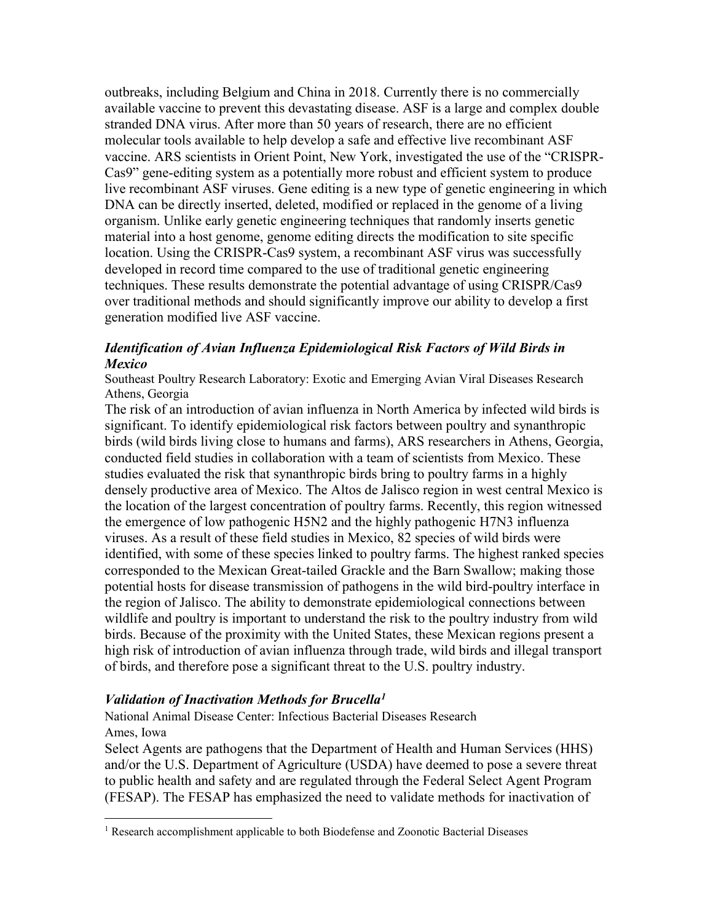outbreaks, including Belgium and China in 2018. Currently there is no commercially available vaccine to prevent this devastating disease. ASF is a large and complex double stranded DNA virus. After more than 50 years of research, there are no efficient molecular tools available to help develop a safe and effective live recombinant ASF vaccine. ARS scientists in Orient Point, New York, investigated the use of the "CRISPR-Cas9" gene-editing system as a potentially more robust and efficient system to produce live recombinant ASF viruses. Gene editing is a new type of genetic engineering in which DNA can be directly inserted, deleted, modified or replaced in the genome of a living organism. Unlike early genetic engineering techniques that randomly inserts genetic material into a host genome, genome editing directs the modification to site specific location. Using the CRISPR-Cas9 system, a recombinant ASF virus was successfully developed in record time compared to the use of traditional genetic engineering techniques. These results demonstrate the potential advantage of using CRISPR/Cas9 over traditional methods and should significantly improve our ability to develop a first generation modified live ASF vaccine.

## *Identification of Avian Influenza Epidemiological Risk Factors of Wild Birds in Mexico*

Southeast Poultry Research Laboratory: Exotic and Emerging Avian Viral Diseases Research Athens, Georgia

The risk of an introduction of avian influenza in North America by infected wild birds is significant. To identify epidemiological risk factors between poultry and synanthropic birds (wild birds living close to humans and farms), ARS researchers in Athens, Georgia, conducted field studies in collaboration with a team of scientists from Mexico. These studies evaluated the risk that synanthropic birds bring to poultry farms in a highly densely productive area of Mexico. The Altos de Jalisco region in west central Mexico is the location of the largest concentration of poultry farms. Recently, this region witnessed the emergence of low pathogenic H5N2 and the highly pathogenic H7N3 influenza viruses. As a result of these field studies in Mexico, 82 species of wild birds were identified, with some of these species linked to poultry farms. The highest ranked species corresponded to the Mexican Great-tailed Grackle and the Barn Swallow; making those potential hosts for disease transmission of pathogens in the wild bird-poultry interface in the region of Jalisco. The ability to demonstrate epidemiological connections between wildlife and poultry is important to understand the risk to the poultry industry from wild birds. Because of the proximity with the United States, these Mexican regions present a high risk of introduction of avian influenza through trade, wild birds and illegal transport of birds, and therefore pose a significant threat to the U.S. poultry industry.

### *Validation of Inactivation Methods for Brucell[a1](#page-3-0)*

National Animal Disease Center: Infectious Bacterial Diseases Research Ames, Iowa

Select Agents are pathogens that the Department of Health and Human Services (HHS) and/or the U.S. Department of Agriculture (USDA) have deemed to pose a severe threat to public health and safety and are regulated through the Federal Select Agent Program (FESAP). The FESAP has emphasized the need to validate methods for inactivation of

<span id="page-3-0"></span><sup>&</sup>lt;sup>1</sup> Research accomplishment applicable to both Biodefense and Zoonotic Bacterial Diseases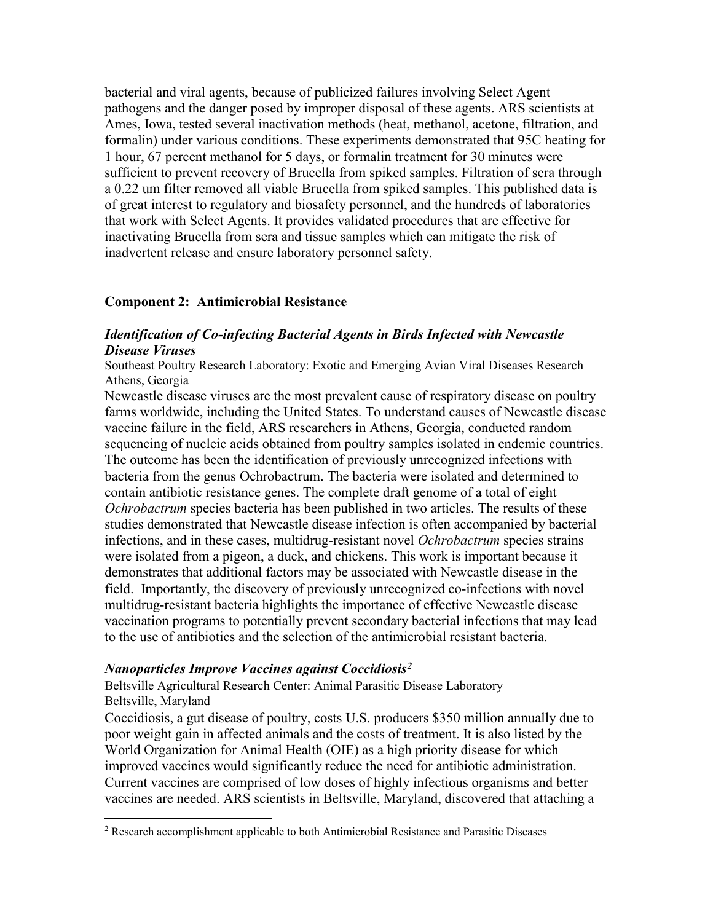bacterial and viral agents, because of publicized failures involving Select Agent pathogens and the danger posed by improper disposal of these agents. ARS scientists at Ames, Iowa, tested several inactivation methods (heat, methanol, acetone, filtration, and formalin) under various conditions. These experiments demonstrated that 95C heating for 1 hour, 67 percent methanol for 5 days, or formalin treatment for 30 minutes were sufficient to prevent recovery of Brucella from spiked samples. Filtration of sera through a 0.22 um filter removed all viable Brucella from spiked samples. This published data is of great interest to regulatory and biosafety personnel, and the hundreds of laboratories that work with Select Agents. It provides validated procedures that are effective for inactivating Brucella from sera and tissue samples which can mitigate the risk of inadvertent release and ensure laboratory personnel safety.

### **Component 2: Antimicrobial Resistance**

### *Identification of Co-infecting Bacterial Agents in Birds Infected with Newcastle Disease Viruses*

Southeast Poultry Research Laboratory: Exotic and Emerging Avian Viral Diseases Research Athens, Georgia

Newcastle disease viruses are the most prevalent cause of respiratory disease on poultry farms worldwide, including the United States. To understand causes of Newcastle disease vaccine failure in the field, ARS researchers in Athens, Georgia, conducted random sequencing of nucleic acids obtained from poultry samples isolated in endemic countries. The outcome has been the identification of previously unrecognized infections with bacteria from the genus Ochrobactrum. The bacteria were isolated and determined to contain antibiotic resistance genes. The complete draft genome of a total of eight *Ochrobactrum* species bacteria has been published in two articles. The results of these studies demonstrated that Newcastle disease infection is often accompanied by bacterial infections, and in these cases, multidrug-resistant novel *Ochrobactrum* species strains were isolated from a pigeon, a duck, and chickens. This work is important because it demonstrates that additional factors may be associated with Newcastle disease in the field. Importantly, the discovery of previously unrecognized co-infections with novel multidrug-resistant bacteria highlights the importance of effective Newcastle disease vaccination programs to potentially prevent secondary bacterial infections that may lead to the use of antibiotics and the selection of the antimicrobial resistant bacteria.

#### *Nanoparticles Improve Vaccines against Coccidiosis[2](#page-4-0)*

Beltsville Agricultural Research Center: Animal Parasitic Disease Laboratory Beltsville, Maryland

Coccidiosis, a gut disease of poultry, costs U.S. producers \$350 million annually due to poor weight gain in affected animals and the costs of treatment. It is also listed by the World Organization for Animal Health (OIE) as a high priority disease for which improved vaccines would significantly reduce the need for antibiotic administration. Current vaccines are comprised of low doses of highly infectious organisms and better vaccines are needed. ARS scientists in Beltsville, Maryland, discovered that attaching a

<span id="page-4-0"></span> <sup>2</sup> Research accomplishment applicable to both Antimicrobial Resistance and Parasitic Diseases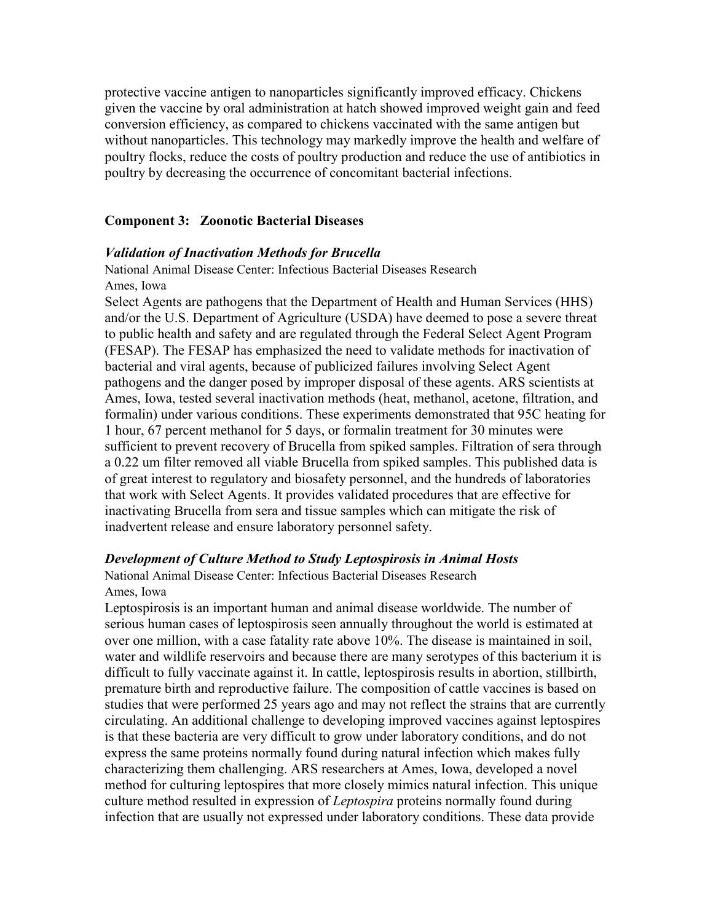protective vaccine antigen to nanoparticles significantly improved efficacy. Chickens given the vaccine by oral administration at hatch showed improved weight gain and feed conversion efficiency, as compared to chickens vaccinated with the same antigen but without nanoparticles. This technology may markedly improve the health and welfare of poultry flocks, reduce the costs of poultry production and reduce the use of antibiotics in poultry by decreasing the occurrence of concomitant bacterial infections.

#### **Component 3: Zoonotic Bacterial Diseases**

#### *Validation of Inactivation Methods for Brucella*

National Animal Disease Center: Infectious Bacterial Diseases Research Ames, Iowa

Select Agents are pathogens that the Department of Health and Human Services (HHS) and/or the U.S. Department of Agriculture (USDA) have deemed to pose a severe threat to public health and safety and are regulated through the Federal Select Agent Program (FESAP). The FESAP has emphasized the need to validate methods for inactivation of bacterial and viral agents, because of publicized failures involving Select Agent pathogens and the danger posed by improper disposal of these agents. ARS scientists at Ames, Iowa, tested several inactivation methods (heat, methanol, acetone, filtration, and formalin) under various conditions. These experiments demonstrated that 95C heating for 1 hour, 67 percent methanol for 5 days, or formalin treatment for 30 minutes were sufficient to prevent recovery of Brucella from spiked samples. Filtration of sera through a 0.22 um filter removed all viable Brucella from spiked samples. This published data is of great interest to regulatory and biosafety personnel, and the hundreds of laboratories that work with Select Agents. It provides validated procedures that are effective for inactivating Brucella from sera and tissue samples which can mitigate the risk of inadvertent release and ensure laboratory personnel safety.

#### *Development of Culture Method to Study Leptospirosis in Animal Hosts*

National Animal Disease Center: Infectious Bacterial Diseases Research Ames, Iowa

Leptospirosis is an important human and animal disease worldwide. The number of serious human cases of leptospirosis seen annually throughout the world is estimated at over one million, with a case fatality rate above 10%. The disease is maintained in soil, water and wildlife reservoirs and because there are many serotypes of this bacterium it is difficult to fully vaccinate against it. In cattle, leptospirosis results in abortion, stillbirth, premature birth and reproductive failure. The composition of cattle vaccines is based on studies that were performed 25 years ago and may not reflect the strains that are currently circulating. An additional challenge to developing improved vaccines against leptospires is that these bacteria are very difficult to grow under laboratory conditions, and do not express the same proteins normally found during natural infection which makes fully characterizing them challenging. ARS researchers at Ames, Iowa, developed a novel method for culturing leptospires that more closely mimics natural infection. This unique culture method resulted in expression of *Leptospira* proteins normally found during infection that are usually not expressed under laboratory conditions. These data provide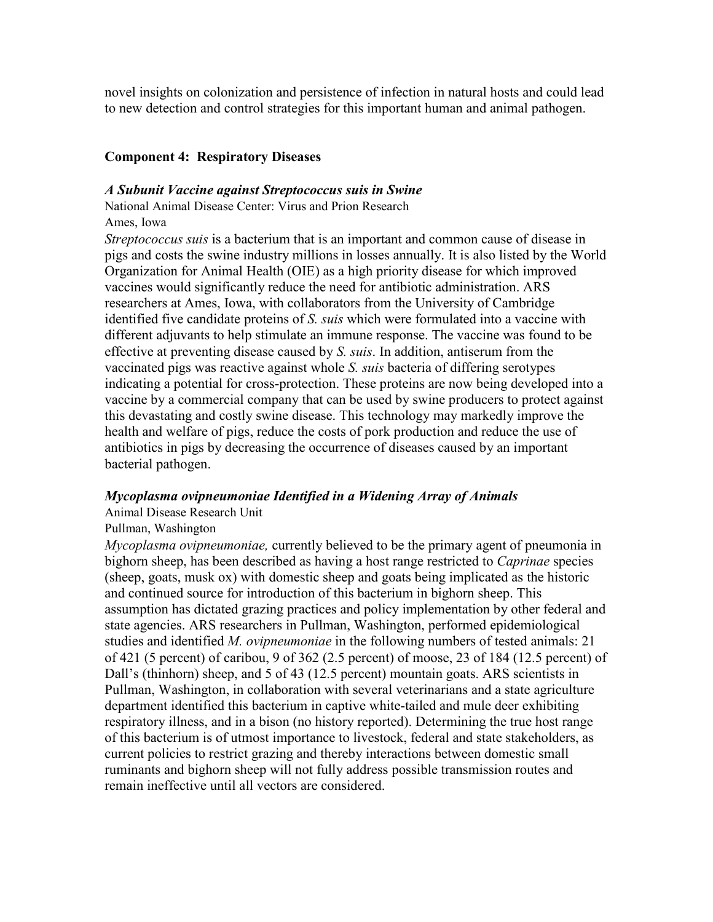novel insights on colonization and persistence of infection in natural hosts and could lead to new detection and control strategies for this important human and animal pathogen.

# **Component 4: Respiratory Diseases**

### *A Subunit Vaccine against Streptococcus suis in Swine*

National Animal Disease Center: Virus and Prion Research Ames, Iowa

*Streptococcus suis* is a bacterium that is an important and common cause of disease in pigs and costs the swine industry millions in losses annually. It is also listed by the World Organization for Animal Health (OIE) as a high priority disease for which improved vaccines would significantly reduce the need for antibiotic administration. ARS researchers at Ames, Iowa, with collaborators from the University of Cambridge identified five candidate proteins of *S. suis* which were formulated into a vaccine with different adjuvants to help stimulate an immune response. The vaccine was found to be effective at preventing disease caused by *S. suis*. In addition, antiserum from the vaccinated pigs was reactive against whole *S. suis* bacteria of differing serotypes indicating a potential for cross-protection. These proteins are now being developed into a vaccine by a commercial company that can be used by swine producers to protect against this devastating and costly swine disease. This technology may markedly improve the health and welfare of pigs, reduce the costs of pork production and reduce the use of antibiotics in pigs by decreasing the occurrence of diseases caused by an important bacterial pathogen.

### *Mycoplasma ovipneumoniae Identified in a Widening Array of Animals*

Animal Disease Research Unit

### Pullman, Washington

*Mycoplasma ovipneumoniae,* currently believed to be the primary agent of pneumonia in bighorn sheep, has been described as having a host range restricted to *Caprinae* species (sheep, goats, musk ox) with domestic sheep and goats being implicated as the historic and continued source for introduction of this bacterium in bighorn sheep. This assumption has dictated grazing practices and policy implementation by other federal and state agencies. ARS researchers in Pullman, Washington, performed epidemiological studies and identified *M. ovipneumoniae* in the following numbers of tested animals: 21 of 421 (5 percent) of caribou, 9 of 362 (2.5 percent) of moose, 23 of 184 (12.5 percent) of Dall's (thinhorn) sheep, and 5 of 43 (12.5 percent) mountain goats. ARS scientists in Pullman, Washington, in collaboration with several veterinarians and a state agriculture department identified this bacterium in captive white-tailed and mule deer exhibiting respiratory illness, and in a bison (no history reported). Determining the true host range of this bacterium is of utmost importance to livestock, federal and state stakeholders, as current policies to restrict grazing and thereby interactions between domestic small ruminants and bighorn sheep will not fully address possible transmission routes and remain ineffective until all vectors are considered.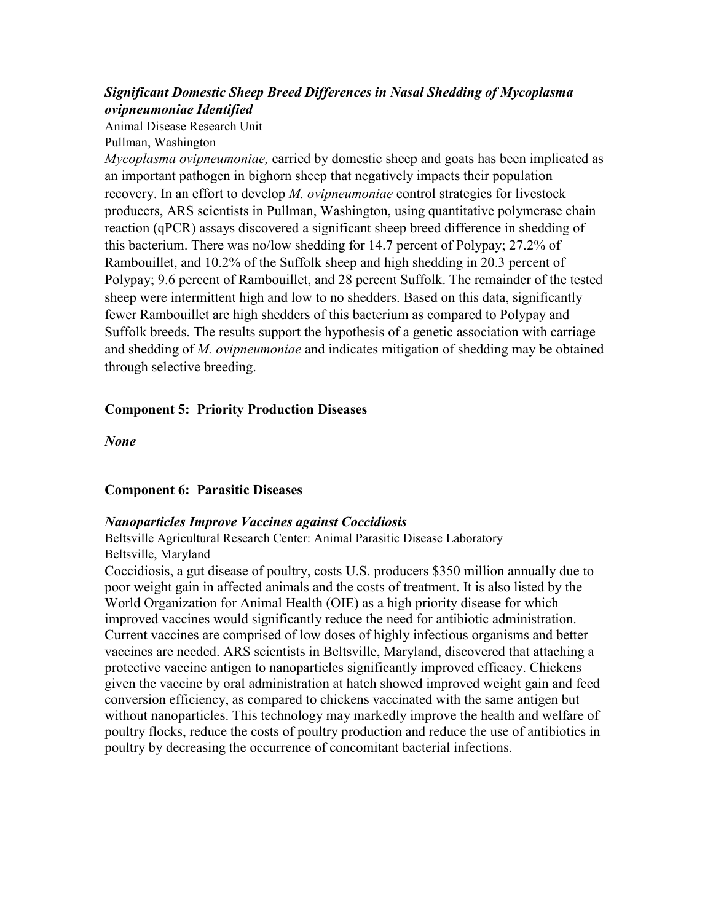# *Significant Domestic Sheep Breed Differences in Nasal Shedding of Mycoplasma ovipneumoniae Identified*

Animal Disease Research Unit Pullman, Washington

*Mycoplasma ovipneumoniae,* carried by domestic sheep and goats has been implicated as an important pathogen in bighorn sheep that negatively impacts their population recovery. In an effort to develop *M. ovipneumoniae* control strategies for livestock producers, ARS scientists in Pullman, Washington, using quantitative polymerase chain reaction (qPCR) assays discovered a significant sheep breed difference in shedding of this bacterium. There was no/low shedding for 14.7 percent of Polypay; 27.2% of Rambouillet, and 10.2% of the Suffolk sheep and high shedding in 20.3 percent of Polypay; 9.6 percent of Rambouillet, and 28 percent Suffolk. The remainder of the tested sheep were intermittent high and low to no shedders. Based on this data, significantly fewer Rambouillet are high shedders of this bacterium as compared to Polypay and Suffolk breeds. The results support the hypothesis of a genetic association with carriage and shedding of *M. ovipneumoniae* and indicates mitigation of shedding may be obtained through selective breeding.

# **Component 5: Priority Production Diseases**

*None*

### **Component 6: Parasitic Diseases**

### *Nanoparticles Improve Vaccines against Coccidiosis*

Beltsville Agricultural Research Center: Animal Parasitic Disease Laboratory Beltsville, Maryland

Coccidiosis, a gut disease of poultry, costs U.S. producers \$350 million annually due to poor weight gain in affected animals and the costs of treatment. It is also listed by the World Organization for Animal Health (OIE) as a high priority disease for which improved vaccines would significantly reduce the need for antibiotic administration. Current vaccines are comprised of low doses of highly infectious organisms and better vaccines are needed. ARS scientists in Beltsville, Maryland, discovered that attaching a protective vaccine antigen to nanoparticles significantly improved efficacy. Chickens given the vaccine by oral administration at hatch showed improved weight gain and feed conversion efficiency, as compared to chickens vaccinated with the same antigen but without nanoparticles. This technology may markedly improve the health and welfare of poultry flocks, reduce the costs of poultry production and reduce the use of antibiotics in poultry by decreasing the occurrence of concomitant bacterial infections.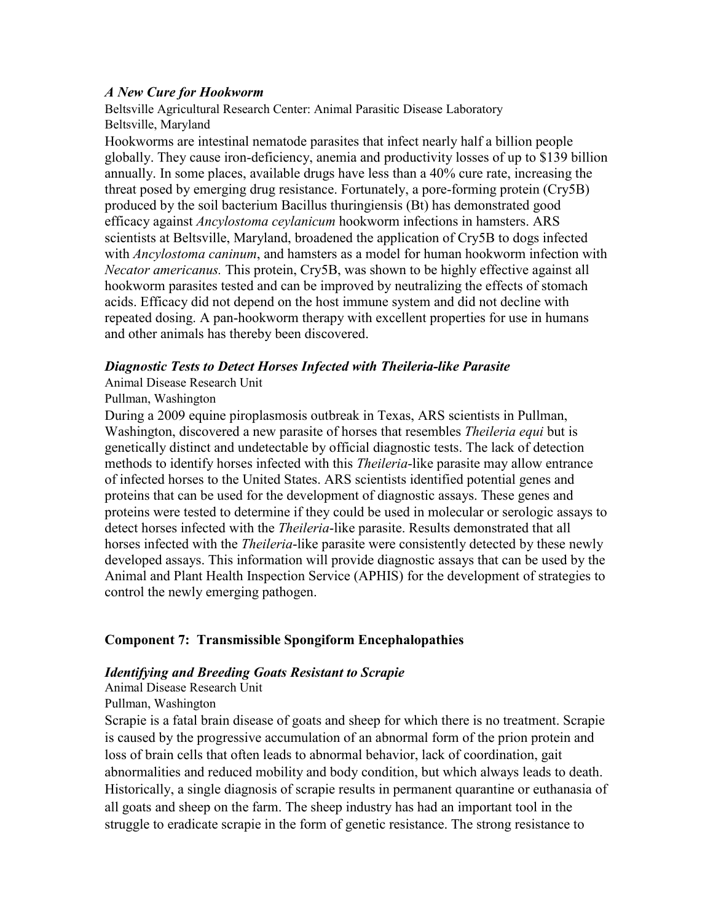### *A New Cure for Hookworm*

Beltsville Agricultural Research Center: Animal Parasitic Disease Laboratory Beltsville, Maryland

Hookworms are intestinal nematode parasites that infect nearly half a billion people globally. They cause iron-deficiency, anemia and productivity losses of up to \$139 billion annually. In some places, available drugs have less than a 40% cure rate, increasing the threat posed by emerging drug resistance. Fortunately, a pore-forming protein (Cry5B) produced by the soil bacterium Bacillus thuringiensis (Bt) has demonstrated good efficacy against *Ancylostoma ceylanicum* hookworm infections in hamsters. ARS scientists at Beltsville, Maryland, broadened the application of Cry5B to dogs infected with *Ancylostoma caninum*, and hamsters as a model for human hookworm infection with *Necator americanus.* This protein, Cry5B, was shown to be highly effective against all hookworm parasites tested and can be improved by neutralizing the effects of stomach acids. Efficacy did not depend on the host immune system and did not decline with repeated dosing. A pan-hookworm therapy with excellent properties for use in humans and other animals has thereby been discovered.

### *Diagnostic Tests to Detect Horses Infected with Theileria-like Parasite*

### Animal Disease Research Unit

### Pullman, Washington

During a 2009 equine piroplasmosis outbreak in Texas, ARS scientists in Pullman, Washington, discovered a new parasite of horses that resembles *Theileria equi* but is genetically distinct and undetectable by official diagnostic tests. The lack of detection methods to identify horses infected with this *Theileria*-like parasite may allow entrance of infected horses to the United States. ARS scientists identified potential genes and proteins that can be used for the development of diagnostic assays. These genes and proteins were tested to determine if they could be used in molecular or serologic assays to detect horses infected with the *Theileria*-like parasite. Results demonstrated that all horses infected with the *Theileria*-like parasite were consistently detected by these newly developed assays. This information will provide diagnostic assays that can be used by the Animal and Plant Health Inspection Service (APHIS) for the development of strategies to control the newly emerging pathogen.

### **Component 7: Transmissible Spongiform Encephalopathies**

### *Identifying and Breeding Goats Resistant to Scrapie*

#### Animal Disease Research Unit

### Pullman, Washington

Scrapie is a fatal brain disease of goats and sheep for which there is no treatment. Scrapie is caused by the progressive accumulation of an abnormal form of the prion protein and loss of brain cells that often leads to abnormal behavior, lack of coordination, gait abnormalities and reduced mobility and body condition, but which always leads to death. Historically, a single diagnosis of scrapie results in permanent quarantine or euthanasia of all goats and sheep on the farm. The sheep industry has had an important tool in the struggle to eradicate scrapie in the form of genetic resistance. The strong resistance to